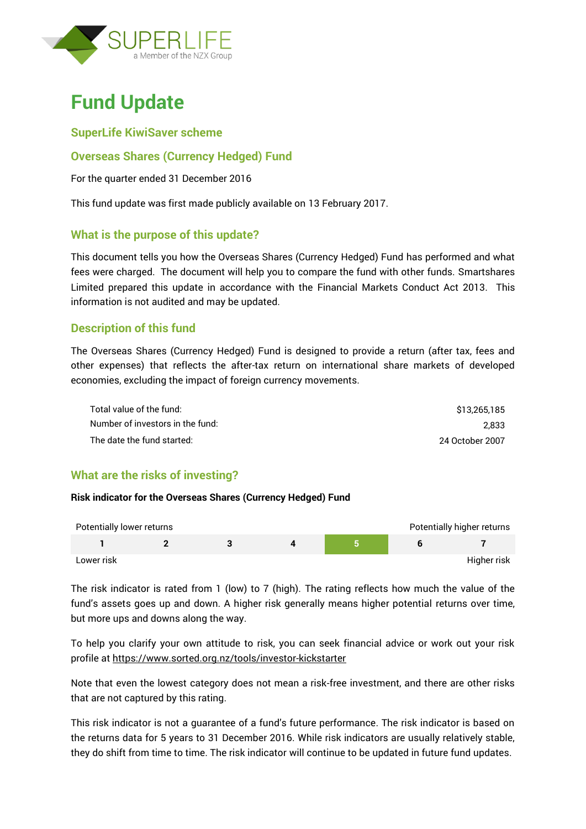

# **Fund Update**

## **SuperLife KiwiSaver scheme**

## **Overseas Shares (Currency Hedged) Fund**

For the quarter ended 31 December 2016

This fund update was first made publicly available on 13 February 2017.

## **What is the purpose of this update?**

This document tells you how the Overseas Shares (Currency Hedged) Fund has performed and what fees were charged. The document will help you to compare the fund with other funds. Smartshares Limited prepared this update in accordance with the Financial Markets Conduct Act 2013. This information is not audited and may be updated.

## **Description of this fund**

The Overseas Shares (Currency Hedged) Fund is designed to provide a return (after tax, fees and other expenses) that reflects the after-tax return on international share markets of developed economies, excluding the impact of foreign currency movements.

| Total value of the fund:         | \$13.265.185    |
|----------------------------------|-----------------|
| Number of investors in the fund: | 2.833           |
| The date the fund started:       | 24 October 2007 |

# **What are the risks of investing?**

#### **Risk indicator for the Overseas Shares (Currency Hedged) Fund**

| Potentially lower returns |  |  | Potentially higher returns |
|---------------------------|--|--|----------------------------|
|                           |  |  |                            |
| Lower risk                |  |  | Higher risk                |

The risk indicator is rated from 1 (low) to 7 (high). The rating reflects how much the value of the fund's assets goes up and down. A higher risk generally means higher potential returns over time, but more ups and downs along the way.

To help you clarify your own attitude to risk, you can seek financial advice or work out your risk profile at<https://www.sorted.org.nz/tools/investor-kickstarter>

Note that even the lowest category does not mean a risk-free investment, and there are other risks that are not captured by this rating.

This risk indicator is not a guarantee of a fund's future performance. The risk indicator is based on the returns data for 5 years to 31 December 2016. While risk indicators are usually relatively stable, they do shift from time to time. The risk indicator will continue to be updated in future fund updates.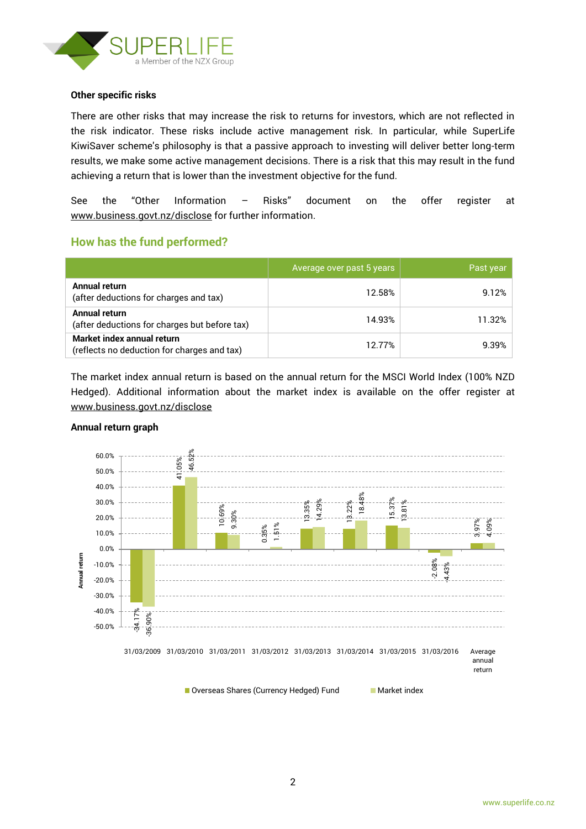

#### **Other specific risks**

There are other risks that may increase the risk to returns for investors, which are not reflected in the risk indicator. These risks include active management risk. In particular, while SuperLife KiwiSaver scheme's philosophy is that a passive approach to investing will deliver better long-term results, we make some active management decisions. There is a risk that this may result in the fund achieving a return that is lower than the investment objective for the fund.

See the "Other Information – Risks" document on the offer register at www.business.govt.nz/disclose for further information.

## **How has the fund performed?**

|                                                                           | Average over past 5 years | Past year |
|---------------------------------------------------------------------------|---------------------------|-----------|
| Annual return<br>(after deductions for charges and tax)                   | 12.58%                    | 9.12%     |
| Annual return<br>(after deductions for charges but before tax)            | 14.93%                    | 11.32%    |
| Market index annual return<br>(reflects no deduction for charges and tax) | 12.77%                    | 9.39%     |

The market index annual return is based on the annual return for the MSCI World Index (100% NZD Hedged). Additional information about the market index is available on the offer register at [www.business.govt.nz/disclose](http://www.business.govt.nz/disclose)



#### **Annual return graph**

■ Overseas Shares (Currency Hedged) Fund Market index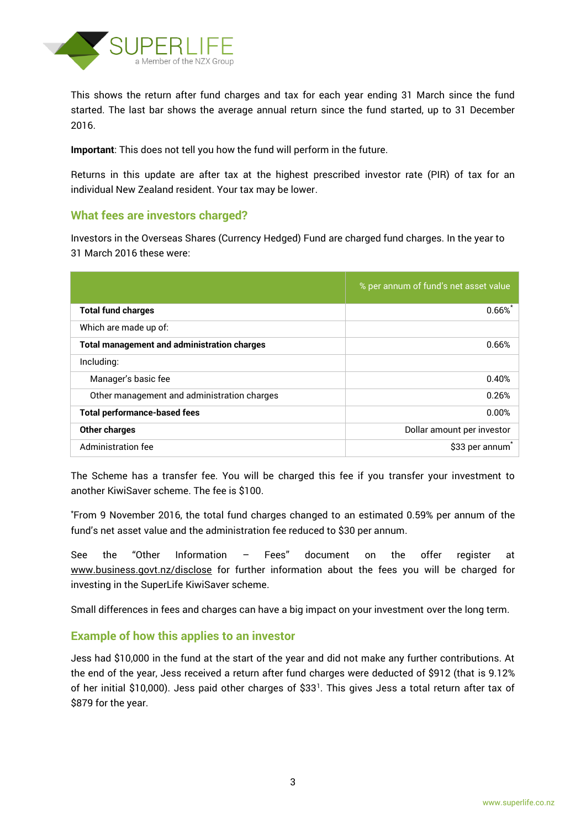

This shows the return after fund charges and tax for each year ending 31 March since the fund started. The last bar shows the average annual return since the fund started, up to 31 December 2016.

**Important**: This does not tell you how the fund will perform in the future.

Returns in this update are after tax at the highest prescribed investor rate (PIR) of tax for an individual New Zealand resident. Your tax may be lower.

## **What fees are investors charged?**

Investors in the Overseas Shares (Currency Hedged) Fund are charged fund charges. In the year to 31 March 2016 these were:

|                                                    | % per annum of fund's net asset value |
|----------------------------------------------------|---------------------------------------|
| <b>Total fund charges</b>                          | $0.66\%$                              |
| Which are made up of:                              |                                       |
| <b>Total management and administration charges</b> | 0.66%                                 |
| Including:                                         |                                       |
| Manager's basic fee                                | 0.40%                                 |
| Other management and administration charges        | 0.26%                                 |
| <b>Total performance-based fees</b>                | 0.00%                                 |
| <b>Other charges</b>                               | Dollar amount per investor            |
| Administration fee                                 | \$33 per annum                        |

The Scheme has a transfer fee. You will be charged this fee if you transfer your investment to another KiwiSaver scheme. The fee is \$100.

\*From 9 November 2016, the total fund charges changed to an estimated 0.59% per annum of the fund's net asset value and the administration fee reduced to \$30 per annum.

See the "Other Information – Fees" document on the offer register at www.business.govt.nz/disclose for further information about the fees you will be charged for investing in the SuperLife KiwiSaver scheme.

Small differences in fees and charges can have a big impact on your investment over the long term.

### **Example of how this applies to an investor**

Jess had \$10,000 in the fund at the start of the year and did not make any further contributions. At the end of the year, Jess received a return after fund charges were deducted of \$912 (that is 9.12% of her initial \$10,000). Jess paid other charges of \$33<sup>1</sup>. This gives Jess a total return after tax of \$879 for the year.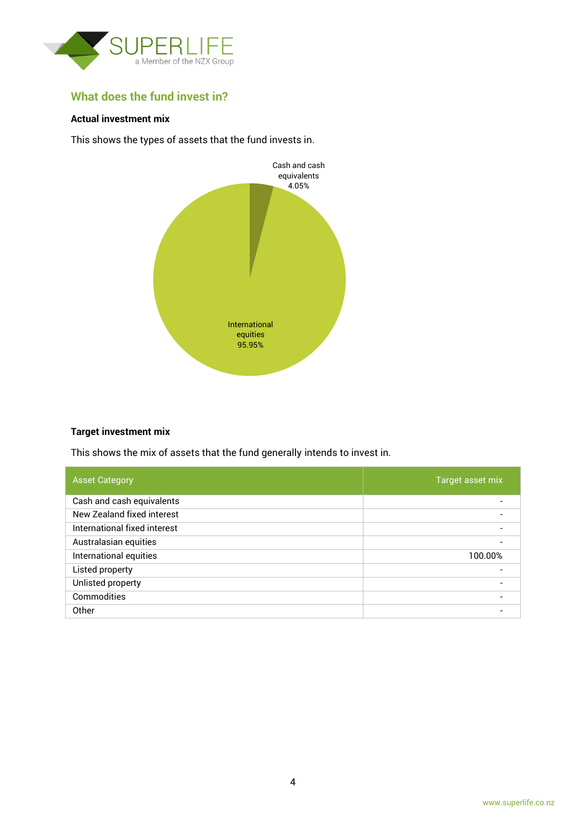

# **What does the fund invest in?**

### **Actual investment mix**

This shows the types of assets that the fund invests in.



#### **Target investment mix**

This shows the mix of assets that the fund generally intends to invest in.

| <b>Asset Category</b>        | Target asset mix |
|------------------------------|------------------|
| Cash and cash equivalents    |                  |
| New Zealand fixed interest   |                  |
| International fixed interest |                  |
| Australasian equities        |                  |
| International equities       | 100.00%          |
| Listed property              |                  |
| Unlisted property            | $\blacksquare$   |
| Commodities                  |                  |
| Other                        |                  |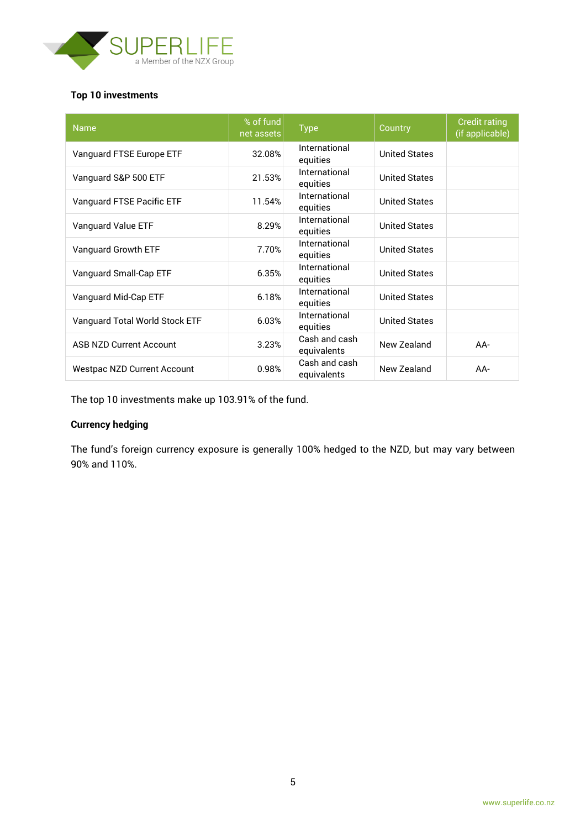

### **Top 10 investments**

| <b>Name</b>                        | % of fund<br>net assets | <b>Type</b>                  | Country              | <b>Credit rating</b><br>(if applicable) |
|------------------------------------|-------------------------|------------------------------|----------------------|-----------------------------------------|
| Vanguard FTSE Europe ETF           | 32.08%                  | International<br>equities    | <b>United States</b> |                                         |
| Vanguard S&P 500 ETF               | 21.53%                  | International<br>equities    | <b>United States</b> |                                         |
| Vanguard FTSE Pacific ETF          | 11.54%                  | International<br>equities    | <b>United States</b> |                                         |
| Vanguard Value ETF                 | 8.29%                   | International<br>equities    | <b>United States</b> |                                         |
| Vanguard Growth ETF                | 7.70%                   | International<br>equities    | <b>United States</b> |                                         |
| Vanguard Small-Cap ETF             | 6.35%                   | International<br>equities    | <b>United States</b> |                                         |
| Vanguard Mid-Cap ETF               | 6.18%                   | International<br>equities    | <b>United States</b> |                                         |
| Vanguard Total World Stock ETF     | 6.03%                   | International<br>equities    | <b>United States</b> |                                         |
| <b>ASB NZD Current Account</b>     | 3.23%                   | Cash and cash<br>equivalents | New Zealand          | $AA-$                                   |
| <b>Westpac NZD Current Account</b> | 0.98%                   | Cash and cash<br>equivalents | New Zealand          | $AA-$                                   |

The top 10 investments make up 103.91% of the fund.

## **Currency hedging**

The fund's foreign currency exposure is generally 100% hedged to the NZD, but may vary between 90% and 110%.